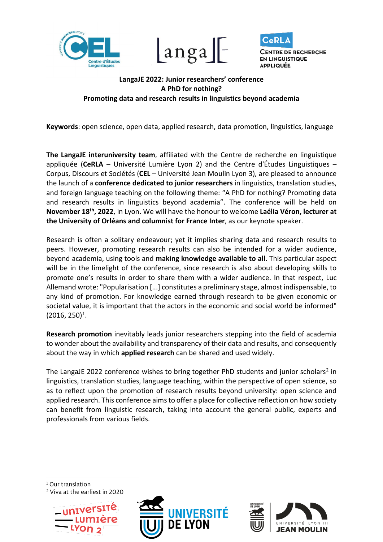





# **LangaJE 2022: Junior researchers' conference A PhD for nothing? Promoting data and research results in linguistics beyond academia**

**Keywords**: open science, open data, applied research, data promotion, linguistics, language

**The LangaJE interuniversity team**, affiliated with the Centre de recherche en linguistique appliquée (**CeRLA** – Université Lumière Lyon 2) and the Centre d'Études Linguistiques – Corpus, Discours et Sociétés (**CEL** – Université Jean Moulin Lyon 3), are pleased to announce the launch of a **conference dedicated to junior researchers** in linguistics, translation studies, and foreign language teaching on the following theme: "A PhD for nothing? Promoting data and research results in linguistics beyond academia". The conference will be held on **November 18th, 2022**, in Lyon. We will have the honour to welcome **Laélia Véron, lecturer at the University of Orléans and columnist for France Inter**, as our keynote speaker.

Research is often a solitary endeavour; yet it implies sharing data and research results to peers. However, promoting research results can also be intended for a wider audience, beyond academia, using tools and **making knowledge available to all**. This particular aspect will be in the limelight of the conference, since research is also about developing skills to promote one's results in order to share them with a wider audience. In that respect, Luc Allemand wrote: "Popularisation [...] constitutes a preliminary stage, almost indispensable, to any kind of promotion. For knowledge earned through research to be given economic or societal value, it is important that the actors in the economic and social world be informed"  $(2016, 250)^1$  $(2016, 250)^1$  $(2016, 250)^1$ .

**Research promotion** inevitably leads junior researchers stepping into the field of academia to wonder about the availability and transparency of their data and results, and consequently about the way in which **applied research** can be shared and used widely.

The LangaJE [2](#page-0-1)022 conference wishes to bring together PhD students and junior scholars<sup>2</sup> in linguistics, translation studies, language teaching, within the perspective of open science, so as to reflect upon the promotion of research results beyond university: open science and applied research. This conference aims to offer a place for collective reflection on how society can benefit from linguistic research, taking into account the general public, experts and professionals from various fields.

<span id="page-0-0"></span><sup>1</sup> Our translation

<span id="page-0-1"></span><sup>2</sup> Viva at the earliest in 2020





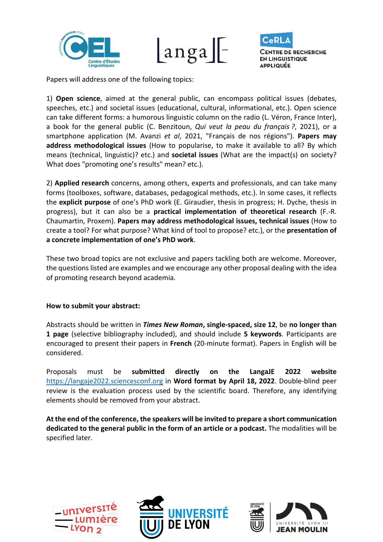





Papers will address one of the following topics:

1) **Open science**, aimed at the general public, can encompass political issues (debates, speeches, etc.) and societal issues (educational, cultural, informational, etc.). Open science can take different forms: a humorous linguistic column on the radio (L. Véron, France Inter), a book for the general public (C. Benzitoun, *Qui veut la peau du français ?*, 2021), or a smartphone application (M. Avanzi *et al*, 2021, "Français de nos régions"). **Papers may address methodological issues** (How to popularise, to make it available to all? By which means (technical, linguistic)? etc.) and **societal issues** (What are the impact(s) on society? What does "promoting one's results" mean? etc.).

2) **Applied research** concerns, among others, experts and professionals, and can take many forms (toolboxes, software, databases, pedagogical methods, etc.). In some cases, it reflects the **explicit purpose** of one's PhD work (E. Giraudier, thesis in progress; H. Dyche, thesis in progress), but it can also be a **practical implementation of theoretical research** (F.-R. Chaumartin, Proxem). **Papers may address methodological issues, technical issues** (How to create a tool? For what purpose? What kind of tool to propose? etc.), or the **presentation of a concrete implementation of one's PhD work**.

These two broad topics are not exclusive and papers tackling both are welcome. Moreover, the questions listed are examples and we encourage any other proposal dealing with the idea of promoting research beyond academia.

#### **How to submit your abstract:**

Abstracts should be written in *Times New Roman***, single-spaced, size 12**, be **no longer than 1 page** (selective bibliography included), and should include **5 keywords**. Participants are encouraged to present their papers in **French** (20-minute format). Papers in English will be considered.

Proposals must be **submitted directly on the LangaJE 2022 website** [https://langaje2022.sciencesconf.org](https://langaje2022.sciencesconf.org/) in **Word format by April 18, 2022**. Double-blind peer review is the evaluation process used by the scientific board. Therefore, any identifying elements should be removed from your abstract.

**At the end of the conference, the speakers will be invited to prepare a short communication dedicated to the general public in the form of an article or a podcast.** The modalities will be specified later.





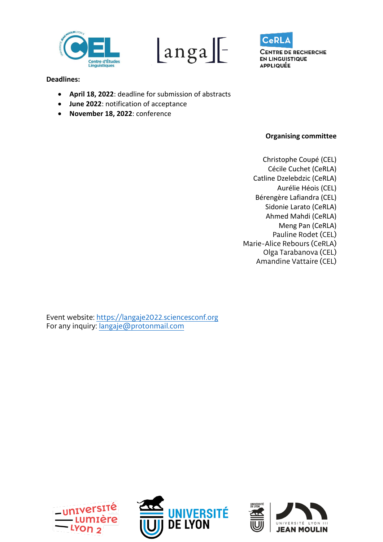





## **Deadlines:**

- **April 18, 2022**: deadline for submission of abstracts
- **June 2022**: notification of acceptance
- **November 18, 2022**: conference

## **Organising committee**

Christophe Coupé (CEL) Cécile Cuchet (CeRLA) Catline Dzelebdzic (CeRLA) Aurélie Héois (CEL) Bérengère Lafiandra (CEL) Sidonie Larato (CeRLA) Ahmed Mahdi (CeRLA) Meng Pan (CeRLA) Pauline Rodet (CEL) Marie-Alice Rebours (CeRLA) Olga Tarabanova (CEL) Amandine Vattaire (CEL)

Event website: [https://langaje2022.sciencesconf.org](https://langaje2022.sciencesconf.org/) For any inquiry: [langaje@protonmail.com](mailto:langaje@protonmail.com)